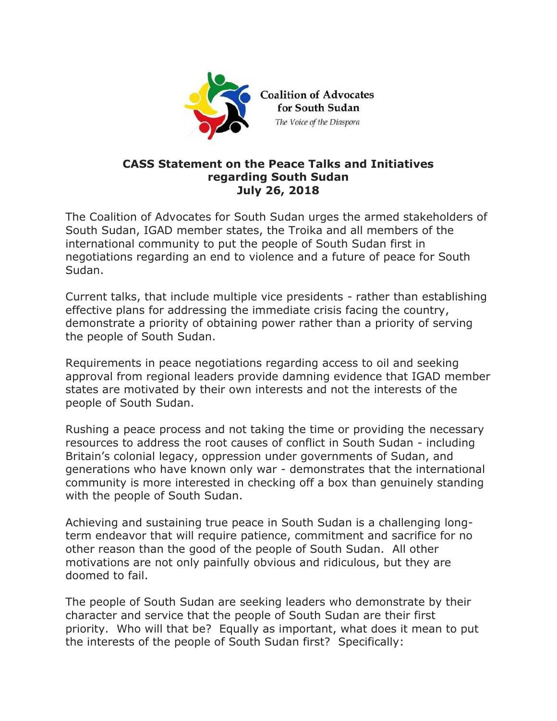

## **CASS Statement on the Peace Talks and Initiatives regarding South Sudan July 26, 2018**

The Coalition of Advocates for South Sudan urges the armed stakeholders of South Sudan, IGAD member states, the Troika and all members of the international community to put the people of South Sudan first in negotiations regarding an end to violence and a future of peace for South Sudan.

Current talks, that include multiple vice presidents - rather than establishing effective plans for addressing the immediate crisis facing the country, demonstrate a priority of obtaining power rather than a priority of serving the people of South Sudan.

Requirements in peace negotiations regarding access to oil and seeking approval from regional leaders provide damning evidence that IGAD member states are motivated by their own interests and not the interests of the people of South Sudan.

Rushing a peace process and not taking the time or providing the necessary resources to address the root causes of conflict in South Sudan - including Britain's colonial legacy, oppression under governments of Sudan, and generations who have known only war - demonstrates that the international community is more interested in checking off a box than genuinely standing with the people of South Sudan.

Achieving and sustaining true peace in South Sudan is a challenging longterm endeavor that will require patience, commitment and sacrifice for no other reason than the good of the people of South Sudan. All other motivations are not only painfully obvious and ridiculous, but they are doomed to fail.

The people of South Sudan are seeking leaders who demonstrate by their character and service that the people of South Sudan are their first priority. Who will that be? Equally as important, what does it mean to put the interests of the people of South Sudan first? Specifically: